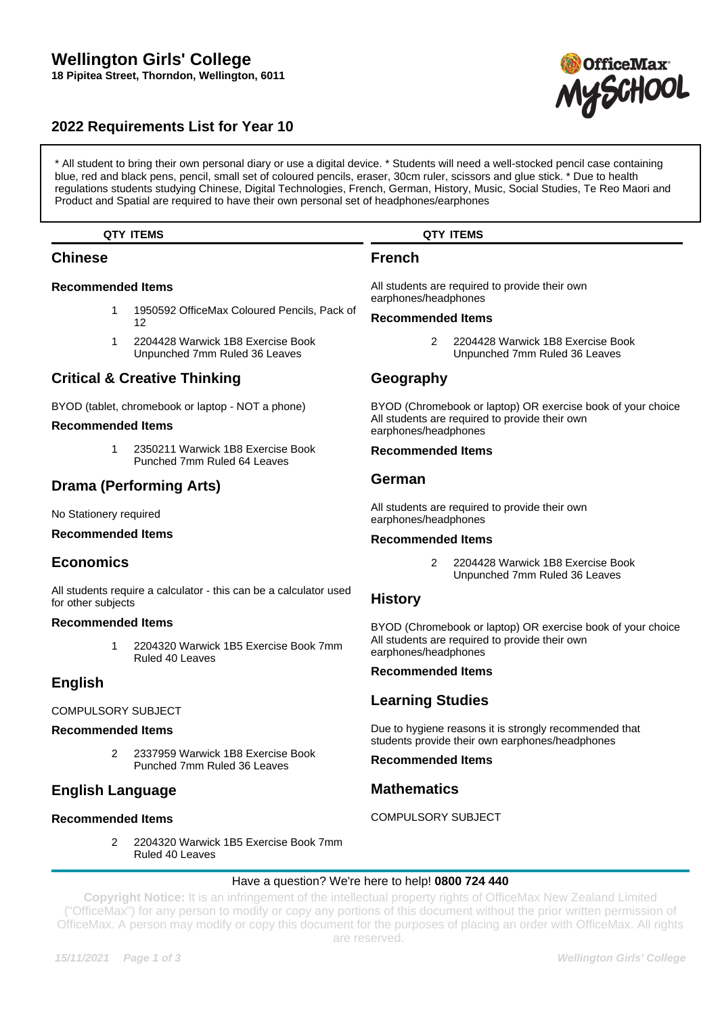# **Wellington Girls' College 18 Pipitea Street, Thorndon, Wellington, 6011**

# **2022 Requirements List for Year 10**

\* All student to bring their own personal diary or use a digital device. \* Students will need a well-stocked pencil case containing blue, red and black pens, pencil, small set of coloured pencils, eraser, 30cm ruler, scissors and glue stick. \* Due to health regulations students studying Chinese, Digital Technologies, French, German, History, Music, Social Studies, Te Reo Maori and Product and Spatial are required to have their own personal set of headphones/earphones

## **QTY ITEMS**

## **Chinese**

## **Recommended Items**

- 1 1950592 OfficeMax Coloured Pencils, Pack of 12
- 1 2204428 Warwick 1B8 Exercise Book Unpunched 7mm Ruled 36 Leaves

# **Critical & Creative Thinking**

BYOD (tablet, chromebook or laptop - NOT a phone)

### **Recommended Items**

1 2350211 Warwick 1B8 Exercise Book Punched 7mm Ruled 64 Leaves

# **Drama (Performing Arts)**

No Stationery required

## **Recommended Items**

# **Economics**

All students require a calculator - this can be a calculator used for other subjects

## **Recommended Items**

1 2204320 Warwick 1B5 Exercise Book 7mm Ruled 40 Leaves

# **English**

### COMPULSORY SUBJECT

### **Recommended Items**

2 2337959 Warwick 1B8 Exercise Book Punched 7mm Ruled 36 Leaves

# **English Language**

## **Recommended Items**

2 2204320 Warwick 1B5 Exercise Book 7mm Ruled 40 Leaves

## **QTY ITEMS**

# **French**

All students are required to provide their own earphones/headphones

#### **Recommended Items**

2 2204428 Warwick 1B8 Exercise Book Unpunched 7mm Ruled 36 Leaves

# **Geography**

BYOD (Chromebook or laptop) OR exercise book of your choice All students are required to provide their own earphones/headphones

#### **Recommended Items**

## **German**

All students are required to provide their own earphones/headphones

## **Recommended Items**

2 2204428 Warwick 1B8 Exercise Book Unpunched 7mm Ruled 36 Leaves

## **History**

BYOD (Chromebook or laptop) OR exercise book of your choice All students are required to provide their own earphones/headphones

### **Recommended Items**

# **Learning Studies**

Due to hygiene reasons it is strongly recommended that students provide their own earphones/headphones

## **Recommended Items**

# **Mathematics**

COMPULSORY SUBJECT

### Have a question? We're here to help! **0800 724 440**

**Copyright Notice:** It is an infringement of the intellectual property rights of OfficeMax New Zealand Limited ("OfficeMax") for any person to modify or copy any portions of this document without the prior written permission of OfficeMax. A person may modify or copy this document for the purposes of placing an order with OfficeMax. All rights are reserved.

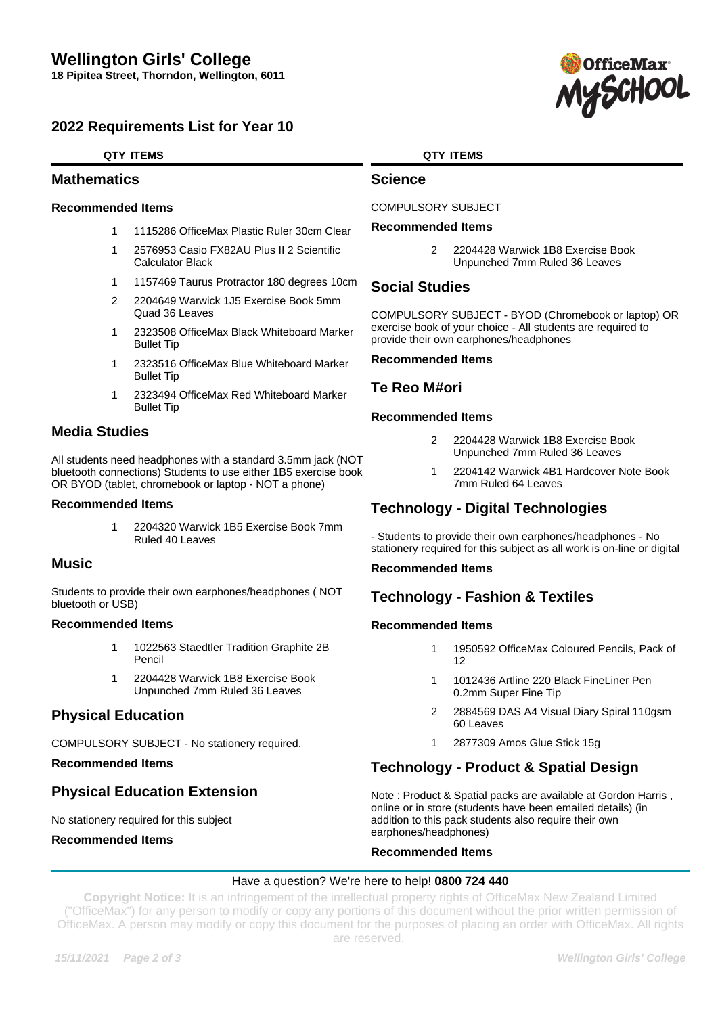# **2022 Requirements List for Year 10**

## **QTY ITEMS**

## **Mathematics**

## **Recommended Items**

- 1 1115286 OfficeMax Plastic Ruler 30cm Clear
- 1 2576953 Casio FX82AU Plus II 2 Scientific Calculator Black
- 1 1157469 Taurus Protractor 180 degrees 10cm
- 2 2204649 Warwick 1J5 Exercise Book 5mm Quad 36 Leaves
- 1 2323508 OfficeMax Black Whiteboard Marker Bullet Tip
- 1 2323516 OfficeMax Blue Whiteboard Marker Bullet Tip
- 1 2323494 OfficeMax Red Whiteboard Marker Bullet Tip

# **Media Studies**

All students need headphones with a standard 3.5mm jack (NOT bluetooth connections) Students to use either 1B5 exercise book OR BYOD (tablet, chromebook or laptop - NOT a phone)

#### **Recommended Items**

1 2204320 Warwick 1B5 Exercise Book 7mm Ruled 40 Leaves

# **Music**

Students to provide their own earphones/headphones ( NOT bluetooth or USB)

### **Recommended Items**

- 1 1022563 Staedtler Tradition Graphite 2B Pencil
- 1 2204428 Warwick 1B8 Exercise Book Unpunched 7mm Ruled 36 Leaves

# **Physical Education**

COMPULSORY SUBJECT - No stationery required.

### **Recommended Items**

# **Physical Education Extension**

## No stationery required for this subject

**Recommended Items**

## **QTY ITEMS**

## **Science**

COMPULSORY SUBJECT

## **Recommended Items**

2 2204428 Warwick 1B8 Exercise Book Unpunched 7mm Ruled 36 Leaves

# **Social Studies**

COMPULSORY SUBJECT - BYOD (Chromebook or laptop) OR exercise book of your choice - All students are required to provide their own earphones/headphones

## **Recommended Items**

## **Te Reo M#ori**

## **Recommended Items**

- 2 2204428 Warwick 1B8 Exercise Book Unpunched 7mm Ruled 36 Leaves
- 1 2204142 Warwick 4B1 Hardcover Note Book 7mm Ruled 64 Leaves

# **Technology - Digital Technologies**

- Students to provide their own earphones/headphones - No stationery required for this subject as all work is on-line or digital

### **Recommended Items**

# **Technology - Fashion & Textiles**

## **Recommended Items**

- 1 1950592 OfficeMax Coloured Pencils, Pack of 12
- 1 1012436 Artline 220 Black FineLiner Pen 0.2mm Super Fine Tip
- 2 2884569 DAS A4 Visual Diary Spiral 110gsm 60 Leaves
- 1 2877309 Amos Glue Stick 15g

# **Technology - Product & Spatial Design**

Note : Product & Spatial packs are available at Gordon Harris , online or in store (students have been emailed details) (in addition to this pack students also require their own earphones/headphones)

### **Recommended Items**

### Have a question? We're here to help! **0800 724 440**

**Copyright Notice:** It is an infringement of the intellectual property rights of OfficeMax New Zealand Limited ("OfficeMax") for any person to modify or copy any portions of this document without the prior written permission of OfficeMax. A person may modify or copy this document for the purposes of placing an order with OfficeMax. All rights are reserved.